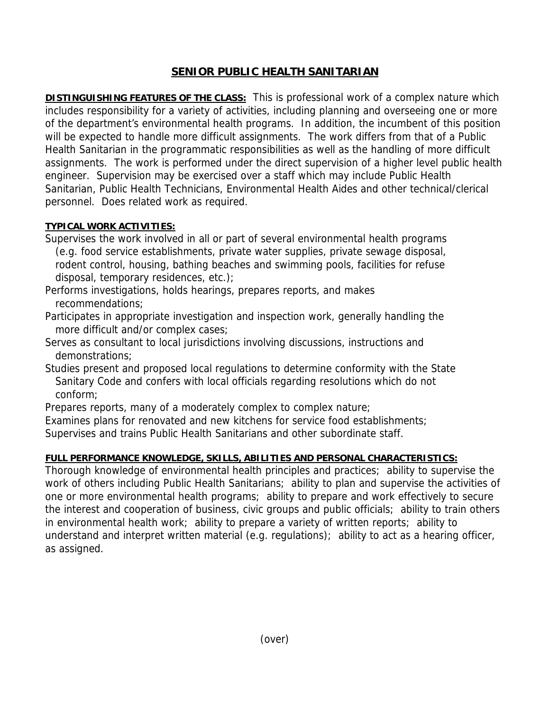## **SENIOR PUBLIC HEALTH SANITARIAN**

**DISTINGUISHING FEATURES OF THE CLASS:** This is professional work of a complex nature which includes responsibility for a variety of activities, including planning and overseeing one or more of the department's environmental health programs. In addition, the incumbent of this position will be expected to handle more difficult assignments. The work differs from that of a Public Health Sanitarian in the programmatic responsibilities as well as the handling of more difficult assignments. The work is performed under the direct supervision of a higher level public health engineer. Supervision may be exercised over a staff which may include Public Health Sanitarian, Public Health Technicians, Environmental Health Aides and other technical/clerical personnel. Does related work as required.

## **TYPICAL WORK ACTIVITIES:**

Supervises the work involved in all or part of several environmental health programs (e.g. food service establishments, private water supplies, private sewage disposal, rodent control, housing, bathing beaches and swimming pools, facilities for refuse disposal, temporary residences, etc.);

Performs investigations, holds hearings, prepares reports, and makes recommendations;

Participates in appropriate investigation and inspection work, generally handling the more difficult and/or complex cases;

Serves as consultant to local jurisdictions involving discussions, instructions and demonstrations;

Studies present and proposed local regulations to determine conformity with the State Sanitary Code and confers with local officials regarding resolutions which do not conform;

Prepares reports, many of a moderately complex to complex nature;

Examines plans for renovated and new kitchens for service food establishments;

Supervises and trains Public Health Sanitarians and other subordinate staff.

## **FULL PERFORMANCE KNOWLEDGE, SKILLS, ABILITIES AND PERSONAL CHARACTERISTICS:**

Thorough knowledge of environmental health principles and practices; ability to supervise the work of others including Public Health Sanitarians; ability to plan and supervise the activities of one or more environmental health programs; ability to prepare and work effectively to secure the interest and cooperation of business, civic groups and public officials; ability to train others in environmental health work; ability to prepare a variety of written reports; ability to understand and interpret written material (e.g. regulations); ability to act as a hearing officer, as assigned.